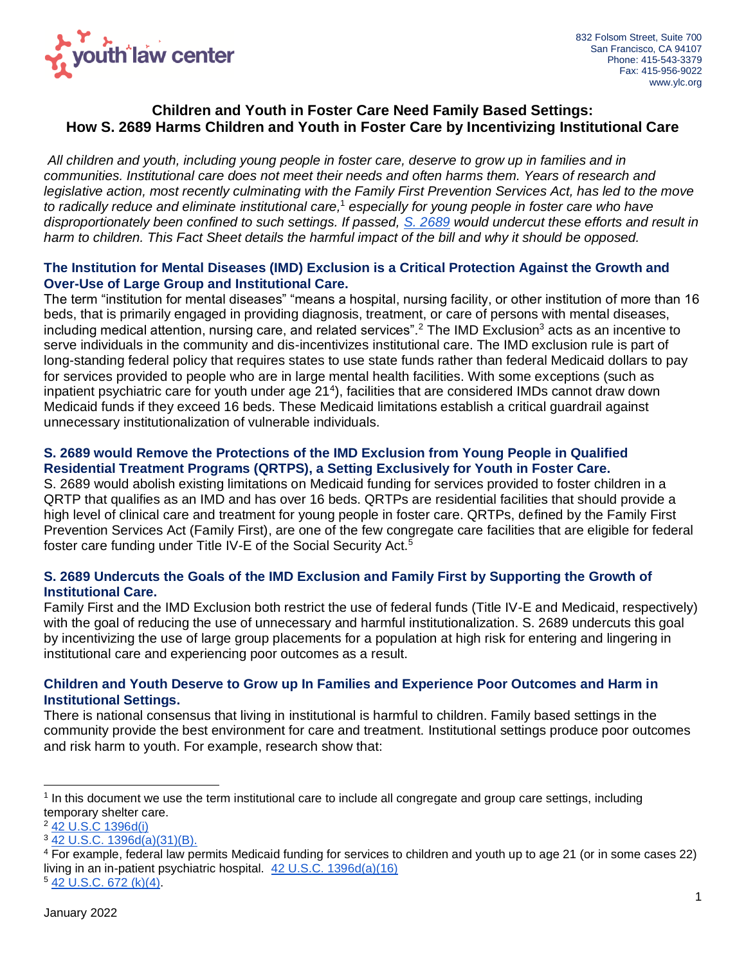

# **Children and Youth in Foster Care Need Family Based Settings: How S. 2689 Harms Children and Youth in Foster Care by Incentivizing Institutional Care**

*All children and youth, including young people in foster care, deserve to grow up in families and in communities. Institutional care does not meet their needs and often harms them. Years of research and legislative action, most recently culminating with the Family First Prevention Services Act, has led to the move to radically reduce and eliminate institutional care,*<sup>1</sup> *especially for young people in foster care who have disproportionately been confined to such settings. If passed, [S. 2689](https://www.congress.gov/bill/117th-congress/senate-bill/2689) would undercut these efforts and result in harm to children. This Fact Sheet details the harmful impact of the bill and why it should be opposed.*

## **The Institution for Mental Diseases (IMD) Exclusion is a Critical Protection Against the Growth and Over-Use of Large Group and Institutional Care.**

The term "institution for mental diseases" "means a hospital, nursing facility, or other institution of more than 16 beds, that is primarily engaged in providing diagnosis, treatment, or care of persons with mental diseases, including medical attention, nursing care, and related services".<sup>2</sup> The IMD Exclusion<sup>3</sup> acts as an incentive to serve individuals in the community and dis-incentivizes institutional care. The IMD exclusion rule is part of long-standing federal policy that requires states to use state funds rather than federal Medicaid dollars to pay for services provided to people who are in large mental health facilities. With some exceptions (such as inpatient psychiatric care for youth under age 21<sup>4</sup>), facilities that are considered IMDs cannot draw down Medicaid funds if they exceed 16 beds. These Medicaid limitations establish a critical guardrail against unnecessary institutionalization of vulnerable individuals.

## **S. 2689 would Remove the Protections of the IMD Exclusion from Young People in Qualified Residential Treatment Programs (QRTPS), a Setting Exclusively for Youth in Foster Care.**

S. 2689 would abolish existing limitations on Medicaid funding for services provided to foster children in a QRTP that qualifies as an IMD and has over 16 beds. QRTPs are residential facilities that should provide a high level of clinical care and treatment for young people in foster care. QRTPs, defined by the Family First Prevention Services Act (Family First), are one of the few congregate care facilities that are eligible for federal foster care funding under Title IV-E of the Social Security Act.<sup>5</sup>

## **S. 2689 Undercuts the Goals of the IMD Exclusion and Family First by Supporting the Growth of Institutional Care.**

Family First and the IMD Exclusion both restrict the use of federal funds (Title IV-E and Medicaid, respectively) with the goal of reducing the use of unnecessary and harmful institutionalization. S. 2689 undercuts this goal by incentivizing the use of large group placements for a population at high risk for entering and lingering in institutional care and experiencing poor outcomes as a result.

## **Children and Youth Deserve to Grow up In Families and Experience Poor Outcomes and Harm in Institutional Settings.**

There is national consensus that living in institutional is harmful to children. Family based settings in the community provide the best environment for care and treatment. Institutional settings produce poor outcomes and risk harm to youth. For example, research show that:

<sup>&</sup>lt;sup>1</sup> In this document we use the term institutional care to include all congregate and group care settings, including temporary shelter care.

<sup>2</sup> [42 U.S.C 1396d\(i\)](https://www.law.cornell.edu/uscode/text/42/1396d) 

<sup>3</sup> [42 U.S.C. 1396d\(a\)\(31\)\(B\).](https://www.law.cornell.edu/uscode/text/42/1396d) 

<sup>4</sup> For example, federal law permits Medicaid funding for services to children and youth up to age 21 (or in some cases 22) living in an in-patient psychiatric hospital. [42 U.S.C. 1396d\(a\)\(16\)](https://www.law.cornell.edu/uscode/text/42/1396d)  $542 \text{ U.S.C. } 672 \text{ (k)(4)}.$